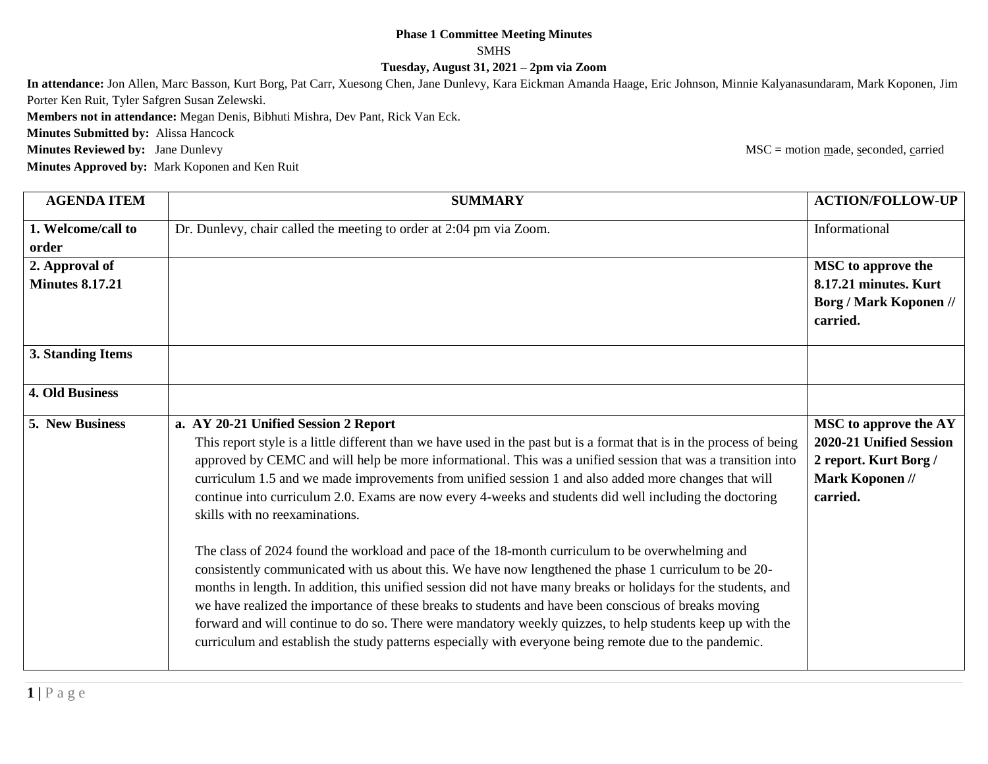## **Phase 1 Committee Meeting Minutes** SMHS

**Tuesday, August 31, 2021 – 2pm via Zoom**

**In attendance:** Jon Allen, Marc Basson, Kurt Borg, Pat Carr, Xuesong Chen, Jane Dunlevy, Kara Eickman Amanda Haage, Eric Johnson, Minnie Kalyanasundaram, Mark Koponen, Jim Porter Ken Ruit, Tyler Safgren Susan Zelewski.

**Members not in attendance:** Megan Denis, Bibhuti Mishra, Dev Pant, Rick Van Eck.

**Minutes Submitted by:** Alissa Hancock

**Minutes Reviewed by:** Jane Dunlevy MSC = motion made, seconded, carried

**Minutes Approved by:** Mark Koponen and Ken Ruit

| <b>AGENDA ITEM</b>     | <b>SUMMARY</b>                                                                                                                                                                                                                                                                                                                                                                                                                                                                                                                                                                                                                                                                                                                                                                                                                                                                                                                                                                                                                                                                                                                                                                                  | <b>ACTION/FOLLOW-UP</b>                                                                                  |
|------------------------|-------------------------------------------------------------------------------------------------------------------------------------------------------------------------------------------------------------------------------------------------------------------------------------------------------------------------------------------------------------------------------------------------------------------------------------------------------------------------------------------------------------------------------------------------------------------------------------------------------------------------------------------------------------------------------------------------------------------------------------------------------------------------------------------------------------------------------------------------------------------------------------------------------------------------------------------------------------------------------------------------------------------------------------------------------------------------------------------------------------------------------------------------------------------------------------------------|----------------------------------------------------------------------------------------------------------|
| 1. Welcome/call to     | Dr. Dunlevy, chair called the meeting to order at 2:04 pm via Zoom.                                                                                                                                                                                                                                                                                                                                                                                                                                                                                                                                                                                                                                                                                                                                                                                                                                                                                                                                                                                                                                                                                                                             | Informational                                                                                            |
| order                  |                                                                                                                                                                                                                                                                                                                                                                                                                                                                                                                                                                                                                                                                                                                                                                                                                                                                                                                                                                                                                                                                                                                                                                                                 |                                                                                                          |
| 2. Approval of         |                                                                                                                                                                                                                                                                                                                                                                                                                                                                                                                                                                                                                                                                                                                                                                                                                                                                                                                                                                                                                                                                                                                                                                                                 | <b>MSC</b> to approve the                                                                                |
| <b>Minutes 8.17.21</b> |                                                                                                                                                                                                                                                                                                                                                                                                                                                                                                                                                                                                                                                                                                                                                                                                                                                                                                                                                                                                                                                                                                                                                                                                 | 8.17.21 minutes. Kurt                                                                                    |
|                        |                                                                                                                                                                                                                                                                                                                                                                                                                                                                                                                                                                                                                                                                                                                                                                                                                                                                                                                                                                                                                                                                                                                                                                                                 | <b>Borg / Mark Koponen //</b><br>carried.                                                                |
| 3. Standing Items      |                                                                                                                                                                                                                                                                                                                                                                                                                                                                                                                                                                                                                                                                                                                                                                                                                                                                                                                                                                                                                                                                                                                                                                                                 |                                                                                                          |
| <b>4. Old Business</b> |                                                                                                                                                                                                                                                                                                                                                                                                                                                                                                                                                                                                                                                                                                                                                                                                                                                                                                                                                                                                                                                                                                                                                                                                 |                                                                                                          |
| 5. New Business        | a. AY 20-21 Unified Session 2 Report<br>This report style is a little different than we have used in the past but is a format that is in the process of being<br>approved by CEMC and will help be more informational. This was a unified session that was a transition into<br>curriculum 1.5 and we made improvements from unified session 1 and also added more changes that will<br>continue into curriculum 2.0. Exams are now every 4-weeks and students did well including the doctoring<br>skills with no reexaminations.<br>The class of 2024 found the workload and pace of the 18-month curriculum to be overwhelming and<br>consistently communicated with us about this. We have now lengthened the phase 1 curriculum to be 20-<br>months in length. In addition, this unified session did not have many breaks or holidays for the students, and<br>we have realized the importance of these breaks to students and have been conscious of breaks moving<br>forward and will continue to do so. There were mandatory weekly quizzes, to help students keep up with the<br>curriculum and establish the study patterns especially with everyone being remote due to the pandemic. | MSC to approve the AY<br>2020-21 Unified Session<br>2 report. Kurt Borg /<br>Mark Koponen //<br>carried. |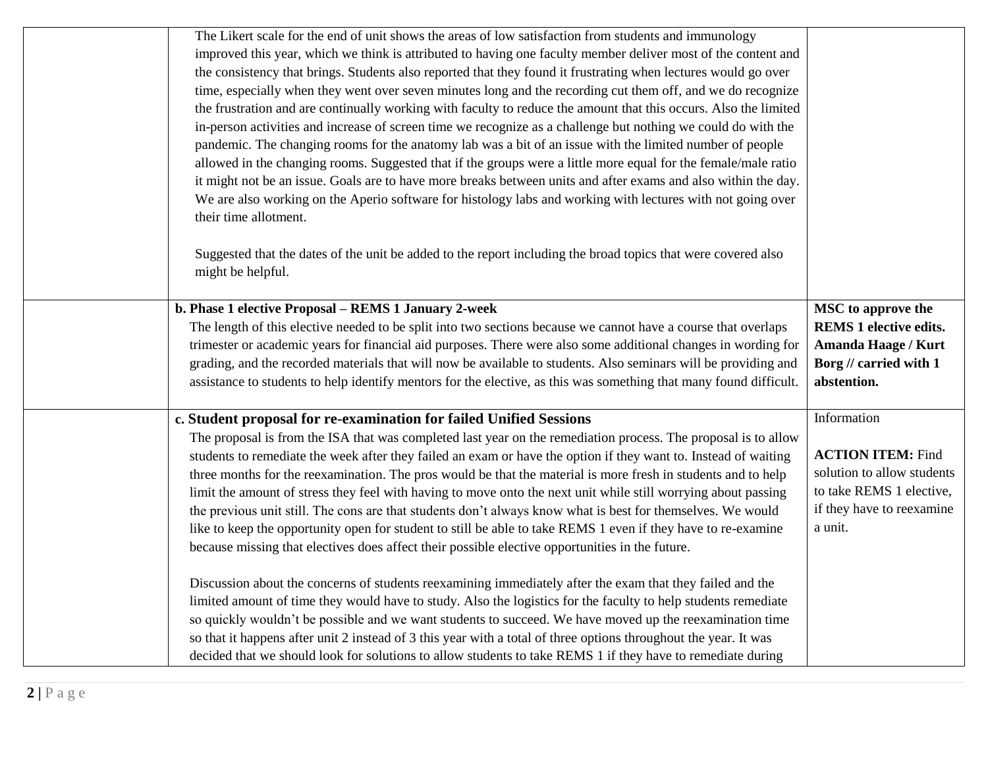|                                            | The Likert scale for the end of unit shows the areas of low satisfaction from students and immunology<br>improved this year, which we think is attributed to having one faculty member deliver most of the content and<br>the consistency that brings. Students also reported that they found it frustrating when lectures would go over<br>time, especially when they went over seven minutes long and the recording cut them off, and we do recognize<br>the frustration and are continually working with faculty to reduce the amount that this occurs. Also the limited<br>in-person activities and increase of screen time we recognize as a challenge but nothing we could do with the<br>pandemic. The changing rooms for the anatomy lab was a bit of an issue with the limited number of people<br>allowed in the changing rooms. Suggested that if the groups were a little more equal for the female/male ratio<br>it might not be an issue. Goals are to have more breaks between units and after exams and also within the day. |                                                                                                                            |
|--------------------------------------------|----------------------------------------------------------------------------------------------------------------------------------------------------------------------------------------------------------------------------------------------------------------------------------------------------------------------------------------------------------------------------------------------------------------------------------------------------------------------------------------------------------------------------------------------------------------------------------------------------------------------------------------------------------------------------------------------------------------------------------------------------------------------------------------------------------------------------------------------------------------------------------------------------------------------------------------------------------------------------------------------------------------------------------------------|----------------------------------------------------------------------------------------------------------------------------|
| their time allotment.<br>might be helpful. | We are also working on the Aperio software for histology labs and working with lectures with not going over<br>Suggested that the dates of the unit be added to the report including the broad topics that were covered also<br>b. Phase 1 elective Proposal - REMS 1 January 2-week                                                                                                                                                                                                                                                                                                                                                                                                                                                                                                                                                                                                                                                                                                                                                         | MSC to approve the                                                                                                         |
|                                            | The length of this elective needed to be split into two sections because we cannot have a course that overlaps                                                                                                                                                                                                                                                                                                                                                                                                                                                                                                                                                                                                                                                                                                                                                                                                                                                                                                                               | <b>REMS 1 elective edits.</b>                                                                                              |
|                                            | trimester or academic years for financial aid purposes. There were also some additional changes in wording for                                                                                                                                                                                                                                                                                                                                                                                                                                                                                                                                                                                                                                                                                                                                                                                                                                                                                                                               | Amanda Haage / Kurt                                                                                                        |
|                                            | grading, and the recorded materials that will now be available to students. Also seminars will be providing and<br>assistance to students to help identify mentors for the elective, as this was something that many found difficult.                                                                                                                                                                                                                                                                                                                                                                                                                                                                                                                                                                                                                                                                                                                                                                                                        | Borg // carried with 1<br>abstention.                                                                                      |
|                                            | c. Student proposal for re-examination for failed Unified Sessions                                                                                                                                                                                                                                                                                                                                                                                                                                                                                                                                                                                                                                                                                                                                                                                                                                                                                                                                                                           | Information                                                                                                                |
|                                            | The proposal is from the ISA that was completed last year on the remediation process. The proposal is to allow<br>students to remediate the week after they failed an exam or have the option if they want to. Instead of waiting<br>three months for the reexamination. The pros would be that the material is more fresh in students and to help<br>limit the amount of stress they feel with having to move onto the next unit while still worrying about passing<br>the previous unit still. The cons are that students don't always know what is best for themselves. We would<br>like to keep the opportunity open for student to still be able to take REMS 1 even if they have to re-examine<br>because missing that electives does affect their possible elective opportunities in the future.                                                                                                                                                                                                                                      | <b>ACTION ITEM: Find</b><br>solution to allow students<br>to take REMS 1 elective,<br>if they have to reexamine<br>a unit. |
|                                            | Discussion about the concerns of students reexamining immediately after the exam that they failed and the<br>limited amount of time they would have to study. Also the logistics for the faculty to help students remediate<br>so quickly wouldn't be possible and we want students to succeed. We have moved up the reexamination time<br>so that it happens after unit 2 instead of 3 this year with a total of three options throughout the year. It was<br>decided that we should look for solutions to allow students to take REMS 1 if they have to remediate during                                                                                                                                                                                                                                                                                                                                                                                                                                                                   |                                                                                                                            |